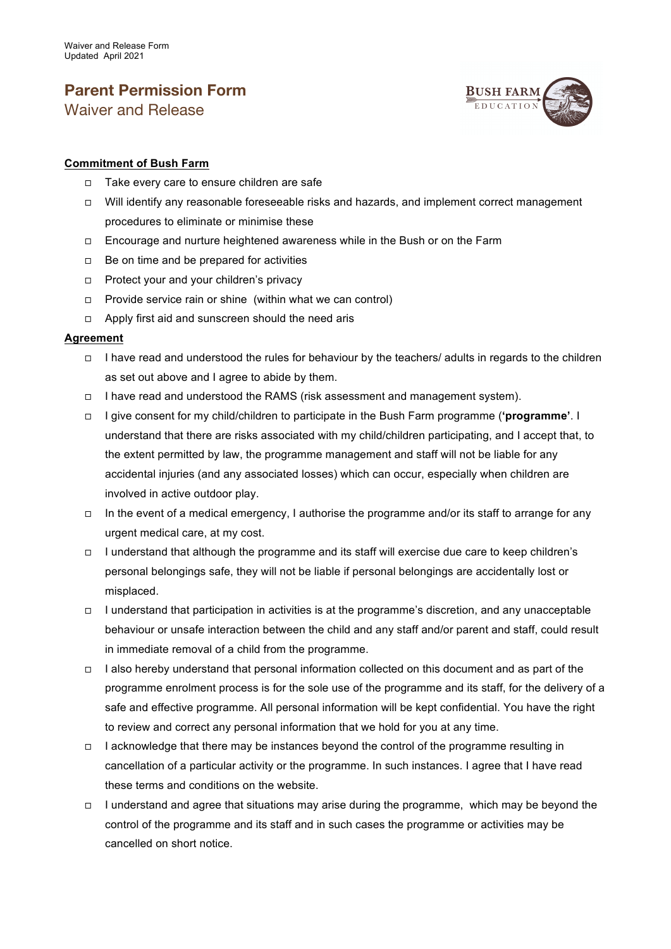## **Parent Permission Form** Waiver and Release



## **Commitment of Bush Farm**

- ◻ Take every care to ensure children are safe
- ◻ Will identify any reasonable foreseeable risks and hazards, and implement correct management procedures to eliminate or minimise these
- ◻ Encourage and nurture heightened awareness while in the Bush or on the Farm
- ◻ Be on time and be prepared for activities
- ◻ Protect your and your children's privacy
- ◻ Provide service rain or shine (within what we can control)
- ◻ Apply first aid and sunscreen should the need aris

## **Agreement**

- ◻ I have read and understood the rules for behaviour by the teachers/ adults in regards to the children as set out above and I agree to abide by them.
- ◻ I have read and understood the RAMS (risk assessment and management system).
- ◻ I give consent for my child/children to participate in the Bush Farm programme (**'programme'**. I understand that there are risks associated with my child/children participating, and I accept that, to the extent permitted by law, the programme management and staff will not be liable for any accidental injuries (and any associated losses) which can occur, especially when children are involved in active outdoor play.
- ◻ In the event of a medical emergency, I authorise the programme and/or its staff to arrange for any urgent medical care, at my cost.
- ◻ I understand that although the programme and its staff will exercise due care to keep children's personal belongings safe, they will not be liable if personal belongings are accidentally lost or misplaced.
- ◻ I understand that participation in activities is at the programme's discretion, and any unacceptable behaviour or unsafe interaction between the child and any staff and/or parent and staff, could result in immediate removal of a child from the programme.
- ◻ I also hereby understand that personal information collected on this document and as part of the programme enrolment process is for the sole use of the programme and its staff, for the delivery of a safe and effective programme. All personal information will be kept confidential. You have the right to review and correct any personal information that we hold for you at any time.
- ◻ I acknowledge that there may be instances beyond the control of the programme resulting in cancellation of a particular activity or the programme. In such instances. I agree that I have read these terms and conditions on the website.
- ◻ I understand and agree that situations may arise during the programme, which may be beyond the control of the programme and its staff and in such cases the programme or activities may be cancelled on short notice.